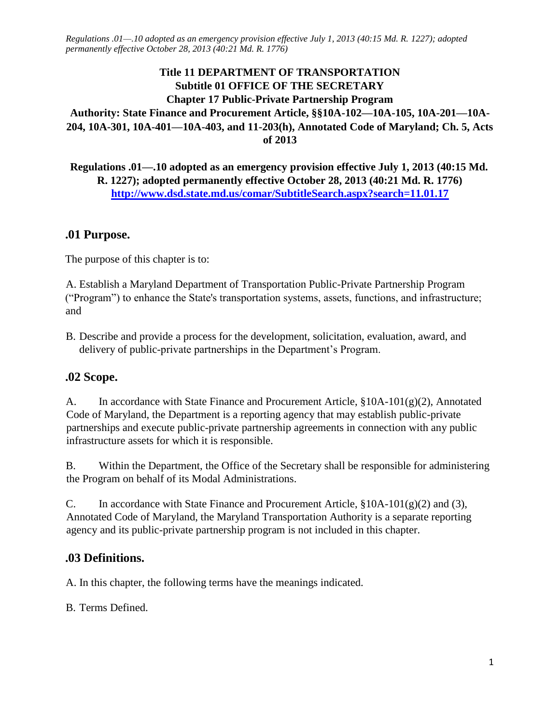## **Title 11 DEPARTMENT OF TRANSPORTATION Subtitle 01 OFFICE OF THE SECRETARY Chapter 17 Public-Private Partnership Program Authority: State Finance and Procurement Article, §§10A-102—10A-105, 10A-201—10A-204, 10A-301, 10A-401—10A-403, and 11-203(h), Annotated Code of Maryland; Ch. 5, Acts of 2013**

**Regulations .01—.10 adopted as an emergency provision effective July 1, 2013 (40:15 Md. R. 1227); adopted permanently effective October 28, 2013 (40:21 Md. R. 1776) <http://www.dsd.state.md.us/comar/SubtitleSearch.aspx?search=11.01.17>**

#### **.01 Purpose.**

The purpose of this chapter is to:

A. Establish a Maryland Department of Transportation Public-Private Partnership Program ("Program") to enhance the State's transportation systems, assets, functions, and infrastructure; and

B. Describe and provide a process for the development, solicitation, evaluation, award, and delivery of public-private partnerships in the Department's Program.

#### **.02 Scope.**

A. In accordance with State Finance and Procurement Article, §10A-101(g)(2), Annotated Code of Maryland, the Department is a reporting agency that may establish public-private partnerships and execute public-private partnership agreements in connection with any public infrastructure assets for which it is responsible.

B. Within the Department, the Office of the Secretary shall be responsible for administering the Program on behalf of its Modal Administrations.

C. In accordance with State Finance and Procurement Article,  $\S 10A-101(g)(2)$  and (3), Annotated Code of Maryland, the Maryland Transportation Authority is a separate reporting agency and its public-private partnership program is not included in this chapter.

## **.03 Definitions.**

A. In this chapter, the following terms have the meanings indicated.

B. Terms Defined.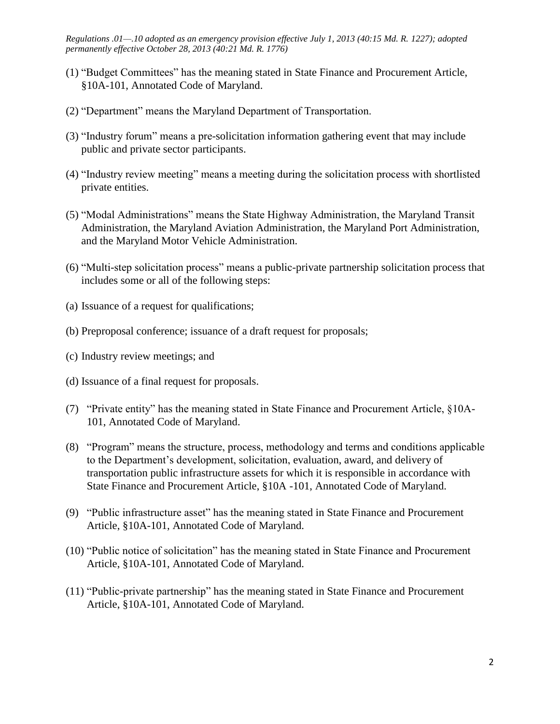- (1) "Budget Committees" has the meaning stated in State Finance and Procurement Article, §10A-101, Annotated Code of Maryland.
- (2) "Department" means the Maryland Department of Transportation.
- (3) "Industry forum" means a pre-solicitation information gathering event that may include public and private sector participants.
- (4) "Industry review meeting" means a meeting during the solicitation process with shortlisted private entities.
- (5) "Modal Administrations" means the State Highway Administration, the Maryland Transit Administration, the Maryland Aviation Administration, the Maryland Port Administration, and the Maryland Motor Vehicle Administration.
- (6) "Multi-step solicitation process" means a public-private partnership solicitation process that includes some or all of the following steps:
- (a) Issuance of a request for qualifications;
- (b) Preproposal conference; issuance of a draft request for proposals;
- (c) Industry review meetings; and
- (d) Issuance of a final request for proposals.
- (7) "Private entity" has the meaning stated in State Finance and Procurement Article, §10A-101, Annotated Code of Maryland.
- (8) "Program" means the structure, process, methodology and terms and conditions applicable to the Department's development, solicitation, evaluation, award, and delivery of transportation public infrastructure assets for which it is responsible in accordance with State Finance and Procurement Article, §10A -101, Annotated Code of Maryland.
- (9) "Public infrastructure asset" has the meaning stated in State Finance and Procurement Article, §10A-101, Annotated Code of Maryland.
- (10) "Public notice of solicitation" has the meaning stated in State Finance and Procurement Article, §10A-101, Annotated Code of Maryland.
- (11) "Public-private partnership" has the meaning stated in State Finance and Procurement Article, §10A-101, Annotated Code of Maryland.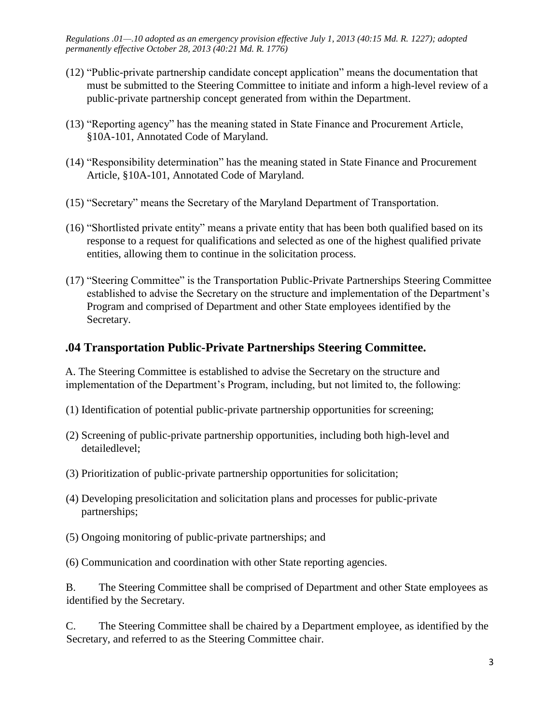- (12) "Public-private partnership candidate concept application" means the documentation that must be submitted to the Steering Committee to initiate and inform a high-level review of a public-private partnership concept generated from within the Department.
- (13) "Reporting agency" has the meaning stated in State Finance and Procurement Article, §10A-101, Annotated Code of Maryland.
- (14) "Responsibility determination" has the meaning stated in State Finance and Procurement Article, §10A-101, Annotated Code of Maryland.
- (15) "Secretary" means the Secretary of the Maryland Department of Transportation.
- (16) "Shortlisted private entity" means a private entity that has been both qualified based on its response to a request for qualifications and selected as one of the highest qualified private entities, allowing them to continue in the solicitation process.
- (17) "Steering Committee" is the Transportation Public-Private Partnerships Steering Committee established to advise the Secretary on the structure and implementation of the Department's Program and comprised of Department and other State employees identified by the Secretary.

#### **.04 Transportation Public-Private Partnerships Steering Committee.**

A. The Steering Committee is established to advise the Secretary on the structure and implementation of the Department's Program, including, but not limited to, the following:

- (1) Identification of potential public-private partnership opportunities for screening;
- (2) Screening of public-private partnership opportunities, including both high-level and detailedlevel;
- (3) Prioritization of public-private partnership opportunities for solicitation;
- (4) Developing presolicitation and solicitation plans and processes for public-private partnerships;
- (5) Ongoing monitoring of public-private partnerships; and
- (6) Communication and coordination with other State reporting agencies.

B. The Steering Committee shall be comprised of Department and other State employees as identified by the Secretary.

C. The Steering Committee shall be chaired by a Department employee, as identified by the Secretary, and referred to as the Steering Committee chair.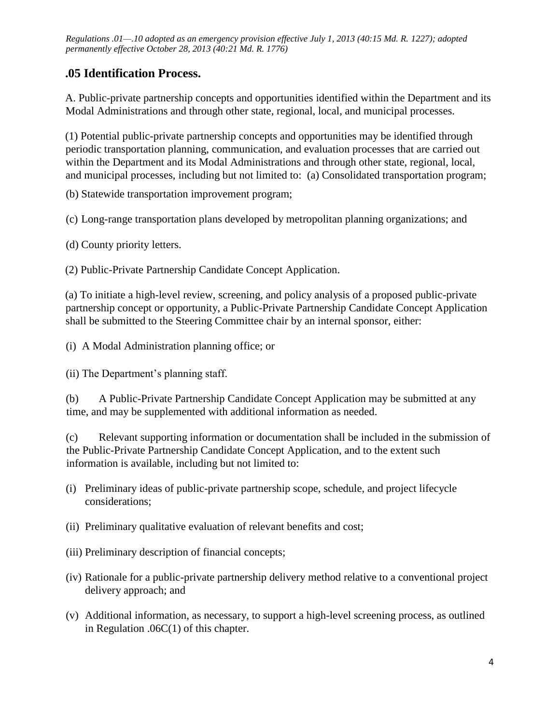## **.05 Identification Process.**

A. Public-private partnership concepts and opportunities identified within the Department and its Modal Administrations and through other state, regional, local, and municipal processes.

(1) Potential public-private partnership concepts and opportunities may be identified through periodic transportation planning, communication, and evaluation processes that are carried out within the Department and its Modal Administrations and through other state, regional, local, and municipal processes, including but not limited to: (a) Consolidated transportation program;

(b) Statewide transportation improvement program;

(c) Long-range transportation plans developed by metropolitan planning organizations; and

(d) County priority letters.

(2) Public-Private Partnership Candidate Concept Application.

(a) To initiate a high-level review, screening, and policy analysis of a proposed public-private partnership concept or opportunity, a Public-Private Partnership Candidate Concept Application shall be submitted to the Steering Committee chair by an internal sponsor, either:

(i) A Modal Administration planning office; or

(ii) The Department's planning staff.

(b) A Public-Private Partnership Candidate Concept Application may be submitted at any time, and may be supplemented with additional information as needed.

(c) Relevant supporting information or documentation shall be included in the submission of the Public-Private Partnership Candidate Concept Application, and to the extent such information is available, including but not limited to:

- (i) Preliminary ideas of public-private partnership scope, schedule, and project lifecycle considerations;
- (ii) Preliminary qualitative evaluation of relevant benefits and cost;
- (iii) Preliminary description of financial concepts;
- (iv) Rationale for a public-private partnership delivery method relative to a conventional project delivery approach; and
- (v) Additional information, as necessary, to support a high-level screening process, as outlined in Regulation .06C(1) of this chapter.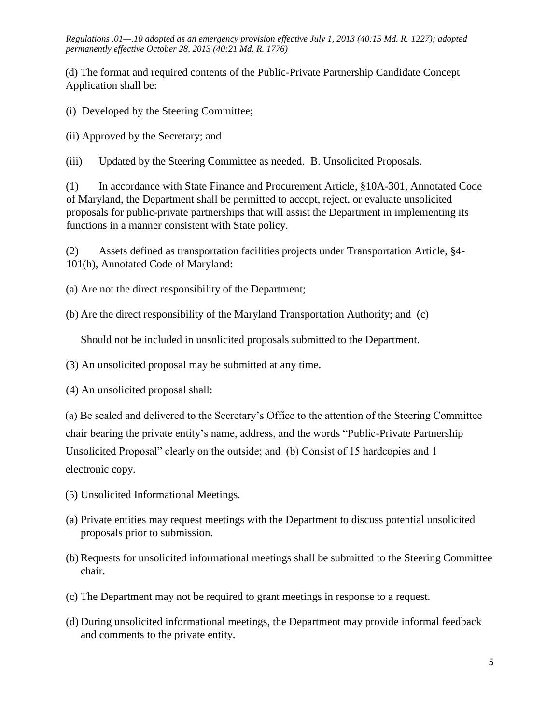(d) The format and required contents of the Public-Private Partnership Candidate Concept Application shall be:

(i) Developed by the Steering Committee;

(ii) Approved by the Secretary; and

(iii) Updated by the Steering Committee as needed. B. Unsolicited Proposals.

(1) In accordance with State Finance and Procurement Article, §10A-301, Annotated Code of Maryland, the Department shall be permitted to accept, reject, or evaluate unsolicited proposals for public-private partnerships that will assist the Department in implementing its functions in a manner consistent with State policy.

(2) Assets defined as transportation facilities projects under Transportation Article, §4- 101(h), Annotated Code of Maryland:

(a) Are not the direct responsibility of the Department;

(b) Are the direct responsibility of the Maryland Transportation Authority; and (c)

Should not be included in unsolicited proposals submitted to the Department.

(3) An unsolicited proposal may be submitted at any time.

(4) An unsolicited proposal shall:

(a) Be sealed and delivered to the Secretary's Office to the attention of the Steering Committee chair bearing the private entity's name, address, and the words "Public-Private Partnership Unsolicited Proposal" clearly on the outside; and (b) Consist of 15 hardcopies and 1 electronic copy.

- (5) Unsolicited Informational Meetings.
- (a) Private entities may request meetings with the Department to discuss potential unsolicited proposals prior to submission.
- (b) Requests for unsolicited informational meetings shall be submitted to the Steering Committee chair.
- (c) The Department may not be required to grant meetings in response to a request.
- (d) During unsolicited informational meetings, the Department may provide informal feedback and comments to the private entity.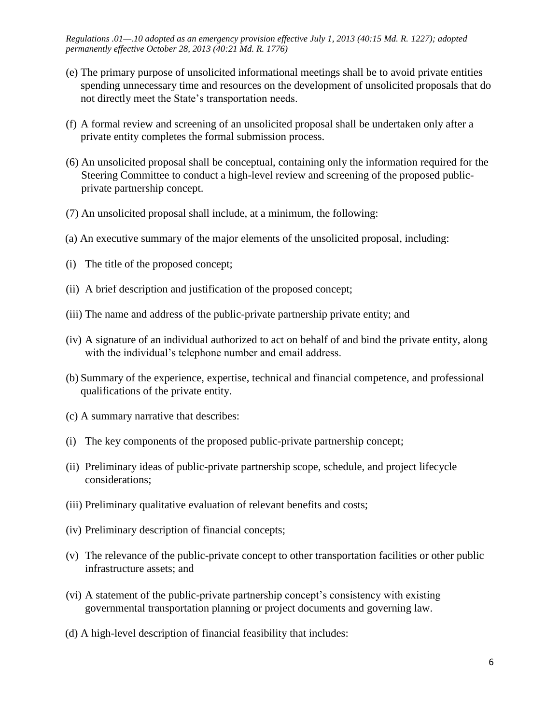- (e) The primary purpose of unsolicited informational meetings shall be to avoid private entities spending unnecessary time and resources on the development of unsolicited proposals that do not directly meet the State's transportation needs.
- (f) A formal review and screening of an unsolicited proposal shall be undertaken only after a private entity completes the formal submission process.
- (6) An unsolicited proposal shall be conceptual, containing only the information required for the Steering Committee to conduct a high-level review and screening of the proposed publicprivate partnership concept.
- (7) An unsolicited proposal shall include, at a minimum, the following:
- (a) An executive summary of the major elements of the unsolicited proposal, including:
- (i) The title of the proposed concept;
- (ii) A brief description and justification of the proposed concept;
- (iii) The name and address of the public-private partnership private entity; and
- (iv) A signature of an individual authorized to act on behalf of and bind the private entity, along with the individual's telephone number and email address.
- (b) Summary of the experience, expertise, technical and financial competence, and professional qualifications of the private entity.
- (c) A summary narrative that describes:
- (i) The key components of the proposed public-private partnership concept;
- (ii) Preliminary ideas of public-private partnership scope, schedule, and project lifecycle considerations;
- (iii) Preliminary qualitative evaluation of relevant benefits and costs;
- (iv) Preliminary description of financial concepts;
- (v) The relevance of the public-private concept to other transportation facilities or other public infrastructure assets; and
- (vi) A statement of the public-private partnership concept's consistency with existing governmental transportation planning or project documents and governing law.
- (d) A high-level description of financial feasibility that includes: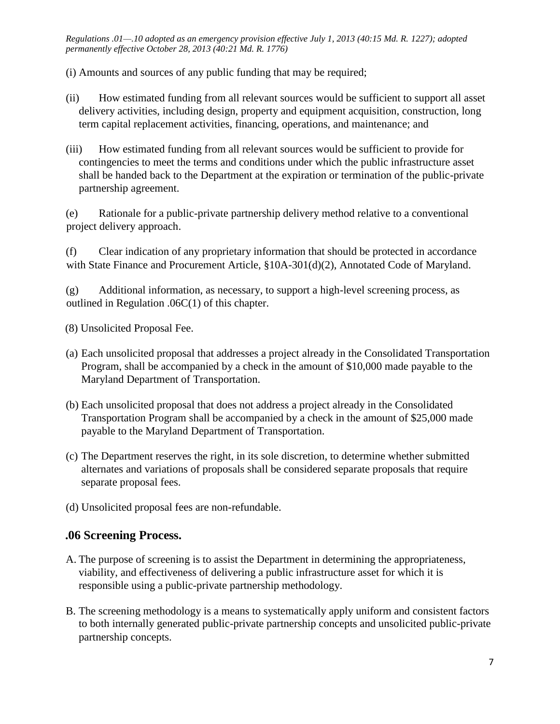(i) Amounts and sources of any public funding that may be required;

- (ii) How estimated funding from all relevant sources would be sufficient to support all asset delivery activities, including design, property and equipment acquisition, construction, long term capital replacement activities, financing, operations, and maintenance; and
- (iii) How estimated funding from all relevant sources would be sufficient to provide for contingencies to meet the terms and conditions under which the public infrastructure asset shall be handed back to the Department at the expiration or termination of the public-private partnership agreement.

(e) Rationale for a public-private partnership delivery method relative to a conventional project delivery approach.

(f) Clear indication of any proprietary information that should be protected in accordance with State Finance and Procurement Article, §10A-301(d)(2), Annotated Code of Maryland.

(g) Additional information, as necessary, to support a high-level screening process, as outlined in Regulation .06C(1) of this chapter.

(8) Unsolicited Proposal Fee.

- (a) Each unsolicited proposal that addresses a project already in the Consolidated Transportation Program, shall be accompanied by a check in the amount of \$10,000 made payable to the Maryland Department of Transportation.
- (b) Each unsolicited proposal that does not address a project already in the Consolidated Transportation Program shall be accompanied by a check in the amount of \$25,000 made payable to the Maryland Department of Transportation.
- (c) The Department reserves the right, in its sole discretion, to determine whether submitted alternates and variations of proposals shall be considered separate proposals that require separate proposal fees.
- (d) Unsolicited proposal fees are non-refundable.

## **.06 Screening Process.**

- A. The purpose of screening is to assist the Department in determining the appropriateness, viability, and effectiveness of delivering a public infrastructure asset for which it is responsible using a public-private partnership methodology.
- B. The screening methodology is a means to systematically apply uniform and consistent factors to both internally generated public-private partnership concepts and unsolicited public-private partnership concepts.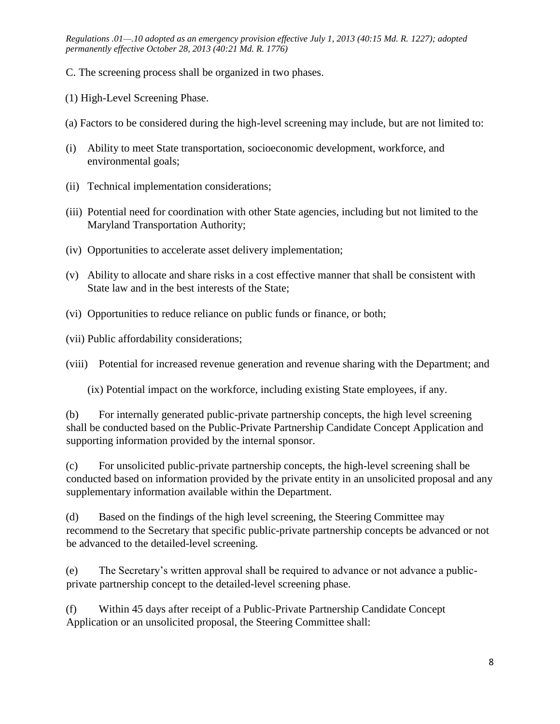- C. The screening process shall be organized in two phases.
- (1) High-Level Screening Phase.
- (a) Factors to be considered during the high-level screening may include, but are not limited to:
- (i) Ability to meet State transportation, socioeconomic development, workforce, and environmental goals;
- (ii) Technical implementation considerations;
- (iii) Potential need for coordination with other State agencies, including but not limited to the Maryland Transportation Authority;
- (iv) Opportunities to accelerate asset delivery implementation;
- (v) Ability to allocate and share risks in a cost effective manner that shall be consistent with State law and in the best interests of the State;
- (vi) Opportunities to reduce reliance on public funds or finance, or both;
- (vii) Public affordability considerations;

(viii) Potential for increased revenue generation and revenue sharing with the Department; and

(ix) Potential impact on the workforce, including existing State employees, if any.

(b) For internally generated public-private partnership concepts, the high level screening shall be conducted based on the Public-Private Partnership Candidate Concept Application and supporting information provided by the internal sponsor.

(c) For unsolicited public-private partnership concepts, the high-level screening shall be conducted based on information provided by the private entity in an unsolicited proposal and any supplementary information available within the Department.

(d) Based on the findings of the high level screening, the Steering Committee may recommend to the Secretary that specific public-private partnership concepts be advanced or not be advanced to the detailed-level screening.

(e) The Secretary's written approval shall be required to advance or not advance a publicprivate partnership concept to the detailed-level screening phase.

(f) Within 45 days after receipt of a Public-Private Partnership Candidate Concept Application or an unsolicited proposal, the Steering Committee shall: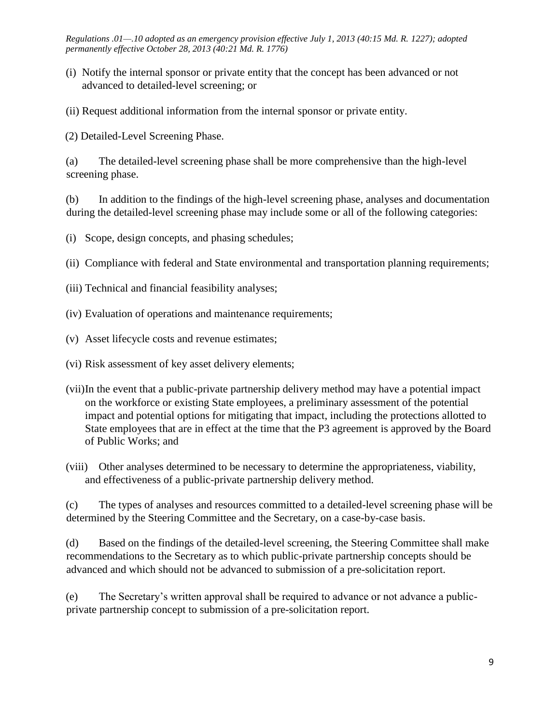- (i) Notify the internal sponsor or private entity that the concept has been advanced or not advanced to detailed-level screening; or
- (ii) Request additional information from the internal sponsor or private entity.

(2) Detailed-Level Screening Phase.

(a) The detailed-level screening phase shall be more comprehensive than the high-level screening phase.

(b) In addition to the findings of the high-level screening phase, analyses and documentation during the detailed-level screening phase may include some or all of the following categories:

(i) Scope, design concepts, and phasing schedules;

(ii) Compliance with federal and State environmental and transportation planning requirements;

- (iii) Technical and financial feasibility analyses;
- (iv) Evaluation of operations and maintenance requirements;
- (v) Asset lifecycle costs and revenue estimates;
- (vi) Risk assessment of key asset delivery elements;
- (vii)In the event that a public-private partnership delivery method may have a potential impact on the workforce or existing State employees, a preliminary assessment of the potential impact and potential options for mitigating that impact, including the protections allotted to State employees that are in effect at the time that the P3 agreement is approved by the Board of Public Works; and
- (viii) Other analyses determined to be necessary to determine the appropriateness, viability, and effectiveness of a public-private partnership delivery method.

(c) The types of analyses and resources committed to a detailed-level screening phase will be determined by the Steering Committee and the Secretary, on a case-by-case basis.

(d) Based on the findings of the detailed-level screening, the Steering Committee shall make recommendations to the Secretary as to which public-private partnership concepts should be advanced and which should not be advanced to submission of a pre-solicitation report.

(e) The Secretary's written approval shall be required to advance or not advance a publicprivate partnership concept to submission of a pre-solicitation report.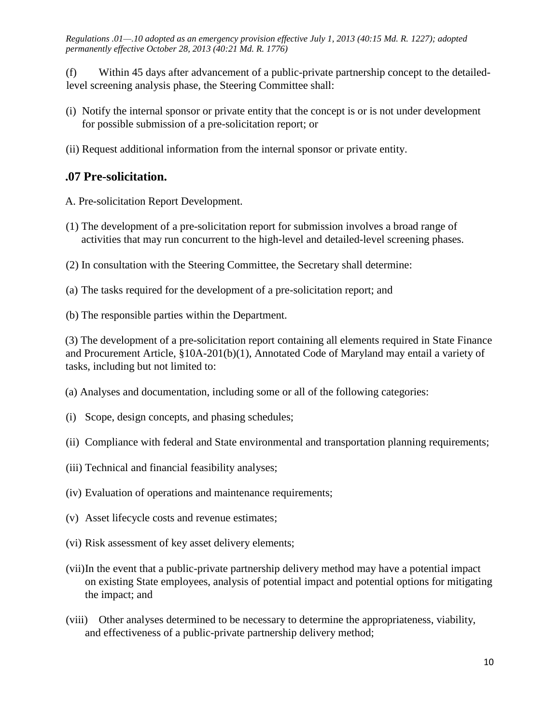(f) Within 45 days after advancement of a public-private partnership concept to the detailedlevel screening analysis phase, the Steering Committee shall:

- (i) Notify the internal sponsor or private entity that the concept is or is not under development for possible submission of a pre-solicitation report; or
- (ii) Request additional information from the internal sponsor or private entity.

### **.07 Pre-solicitation.**

- A. Pre-solicitation Report Development.
- (1) The development of a pre-solicitation report for submission involves a broad range of activities that may run concurrent to the high-level and detailed-level screening phases.
- (2) In consultation with the Steering Committee, the Secretary shall determine:
- (a) The tasks required for the development of a pre-solicitation report; and
- (b) The responsible parties within the Department.

(3) The development of a pre-solicitation report containing all elements required in State Finance and Procurement Article, §10A-201(b)(1), Annotated Code of Maryland may entail a variety of tasks, including but not limited to:

- (a) Analyses and documentation, including some or all of the following categories:
- (i) Scope, design concepts, and phasing schedules;
- (ii) Compliance with federal and State environmental and transportation planning requirements;
- (iii) Technical and financial feasibility analyses;
- (iv) Evaluation of operations and maintenance requirements;
- (v) Asset lifecycle costs and revenue estimates;
- (vi) Risk assessment of key asset delivery elements;
- (vii)In the event that a public-private partnership delivery method may have a potential impact on existing State employees, analysis of potential impact and potential options for mitigating the impact; and
- (viii) Other analyses determined to be necessary to determine the appropriateness, viability, and effectiveness of a public-private partnership delivery method;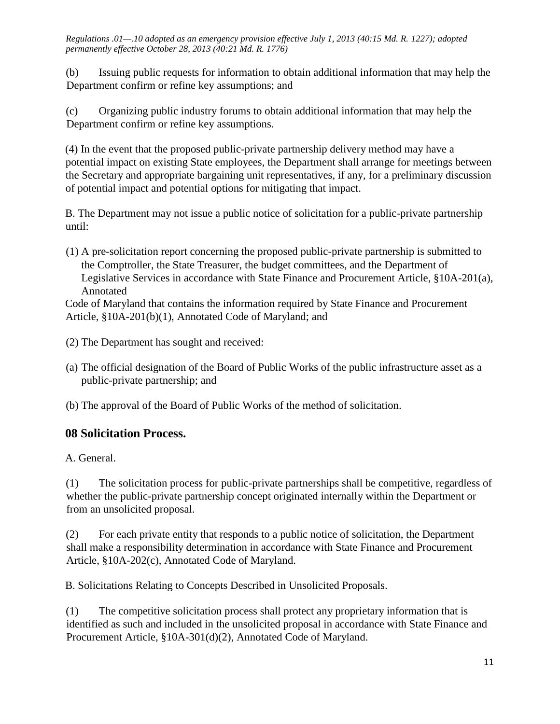(b) Issuing public requests for information to obtain additional information that may help the Department confirm or refine key assumptions; and

(c) Organizing public industry forums to obtain additional information that may help the Department confirm or refine key assumptions.

(4) In the event that the proposed public-private partnership delivery method may have a potential impact on existing State employees, the Department shall arrange for meetings between the Secretary and appropriate bargaining unit representatives, if any, for a preliminary discussion of potential impact and potential options for mitigating that impact.

B. The Department may not issue a public notice of solicitation for a public-private partnership until:

(1) A pre-solicitation report concerning the proposed public-private partnership is submitted to the Comptroller, the State Treasurer, the budget committees, and the Department of Legislative Services in accordance with State Finance and Procurement Article, §10A-201(a), Annotated

Code of Maryland that contains the information required by State Finance and Procurement Article, §10A-201(b)(1), Annotated Code of Maryland; and

(2) The Department has sought and received:

- (a) The official designation of the Board of Public Works of the public infrastructure asset as a public-private partnership; and
- (b) The approval of the Board of Public Works of the method of solicitation.

# **08 Solicitation Process.**

A. General.

(1) The solicitation process for public-private partnerships shall be competitive, regardless of whether the public-private partnership concept originated internally within the Department or from an unsolicited proposal.

(2) For each private entity that responds to a public notice of solicitation, the Department shall make a responsibility determination in accordance with State Finance and Procurement Article, §10A-202(c), Annotated Code of Maryland.

B. Solicitations Relating to Concepts Described in Unsolicited Proposals.

(1) The competitive solicitation process shall protect any proprietary information that is identified as such and included in the unsolicited proposal in accordance with State Finance and Procurement Article, §10A-301(d)(2), Annotated Code of Maryland.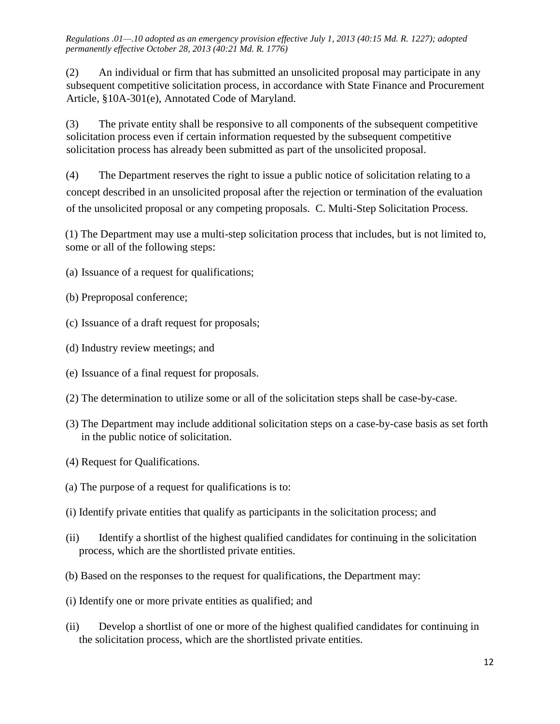(2) An individual or firm that has submitted an unsolicited proposal may participate in any subsequent competitive solicitation process, in accordance with State Finance and Procurement Article, §10A-301(e), Annotated Code of Maryland.

(3) The private entity shall be responsive to all components of the subsequent competitive solicitation process even if certain information requested by the subsequent competitive solicitation process has already been submitted as part of the unsolicited proposal.

(4) The Department reserves the right to issue a public notice of solicitation relating to a concept described in an unsolicited proposal after the rejection or termination of the evaluation of the unsolicited proposal or any competing proposals. C. Multi-Step Solicitation Process.

(1) The Department may use a multi-step solicitation process that includes, but is not limited to, some or all of the following steps:

- (a) Issuance of a request for qualifications;
- (b) Preproposal conference;
- (c) Issuance of a draft request for proposals;
- (d) Industry review meetings; and
- (e) Issuance of a final request for proposals.
- (2) The determination to utilize some or all of the solicitation steps shall be case-by-case.
- (3) The Department may include additional solicitation steps on a case-by-case basis as set forth in the public notice of solicitation.
- (4) Request for Qualifications.
- (a) The purpose of a request for qualifications is to:
- (i) Identify private entities that qualify as participants in the solicitation process; and
- (ii) Identify a shortlist of the highest qualified candidates for continuing in the solicitation process, which are the shortlisted private entities.
- (b) Based on the responses to the request for qualifications, the Department may:
- (i) Identify one or more private entities as qualified; and
- (ii) Develop a shortlist of one or more of the highest qualified candidates for continuing in the solicitation process, which are the shortlisted private entities.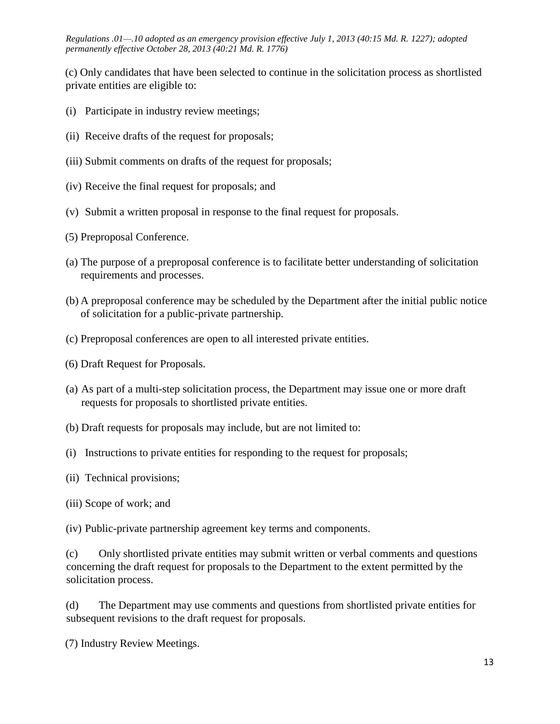(c) Only candidates that have been selected to continue in the solicitation process as shortlisted private entities are eligible to:

- (i) Participate in industry review meetings;
- (ii) Receive drafts of the request for proposals;
- (iii) Submit comments on drafts of the request for proposals;
- (iv) Receive the final request for proposals; and
- (v) Submit a written proposal in response to the final request for proposals.
- (5) Preproposal Conference.
- (a) The purpose of a preproposal conference is to facilitate better understanding of solicitation requirements and processes.
- (b) A preproposal conference may be scheduled by the Department after the initial public notice of solicitation for a public-private partnership.
- (c) Preproposal conferences are open to all interested private entities.
- (6) Draft Request for Proposals.
- (a) As part of a multi-step solicitation process, the Department may issue one or more draft requests for proposals to shortlisted private entities.
- (b) Draft requests for proposals may include, but are not limited to:
- (i) Instructions to private entities for responding to the request for proposals;
- (ii) Technical provisions;
- (iii) Scope of work; and

(iv) Public-private partnership agreement key terms and components.

(c) Only shortlisted private entities may submit written or verbal comments and questions concerning the draft request for proposals to the Department to the extent permitted by the solicitation process.

(d) The Department may use comments and questions from shortlisted private entities for subsequent revisions to the draft request for proposals.

(7) Industry Review Meetings.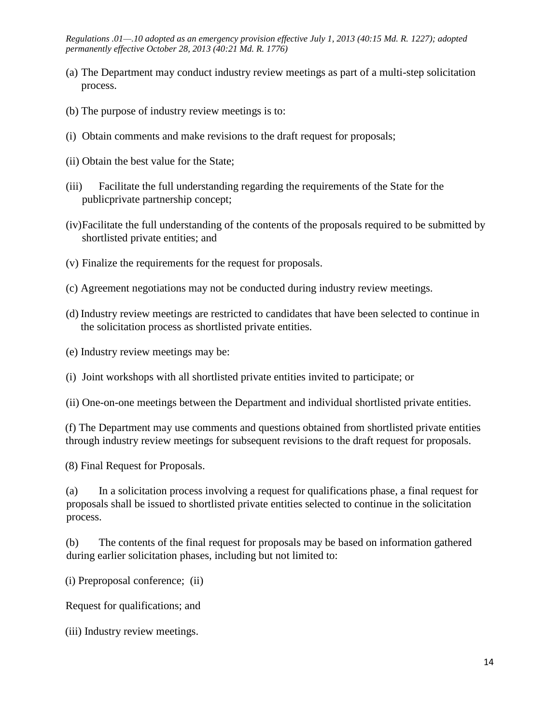- (a) The Department may conduct industry review meetings as part of a multi-step solicitation process.
- (b) The purpose of industry review meetings is to:
- (i) Obtain comments and make revisions to the draft request for proposals;
- (ii) Obtain the best value for the State;
- (iii) Facilitate the full understanding regarding the requirements of the State for the publicprivate partnership concept;
- (iv)Facilitate the full understanding of the contents of the proposals required to be submitted by shortlisted private entities; and
- (v) Finalize the requirements for the request for proposals.
- (c) Agreement negotiations may not be conducted during industry review meetings.
- (d) Industry review meetings are restricted to candidates that have been selected to continue in the solicitation process as shortlisted private entities.
- (e) Industry review meetings may be:
- (i) Joint workshops with all shortlisted private entities invited to participate; or
- (ii) One-on-one meetings between the Department and individual shortlisted private entities.

(f) The Department may use comments and questions obtained from shortlisted private entities through industry review meetings for subsequent revisions to the draft request for proposals.

(8) Final Request for Proposals.

(a) In a solicitation process involving a request for qualifications phase, a final request for proposals shall be issued to shortlisted private entities selected to continue in the solicitation process.

(b) The contents of the final request for proposals may be based on information gathered during earlier solicitation phases, including but not limited to:

(i) Preproposal conference; (ii)

Request for qualifications; and

(iii) Industry review meetings.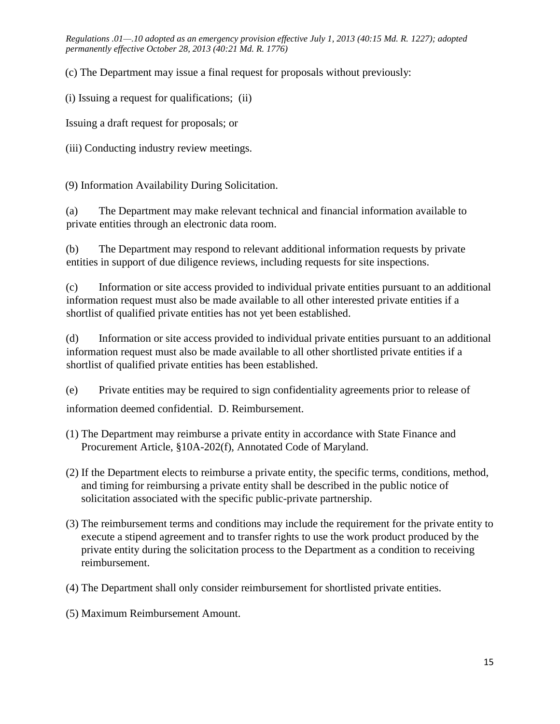(c) The Department may issue a final request for proposals without previously:

(i) Issuing a request for qualifications; (ii)

Issuing a draft request for proposals; or

(iii) Conducting industry review meetings.

(9) Information Availability During Solicitation.

(a) The Department may make relevant technical and financial information available to private entities through an electronic data room.

(b) The Department may respond to relevant additional information requests by private entities in support of due diligence reviews, including requests for site inspections.

(c) Information or site access provided to individual private entities pursuant to an additional information request must also be made available to all other interested private entities if a shortlist of qualified private entities has not yet been established.

(d) Information or site access provided to individual private entities pursuant to an additional information request must also be made available to all other shortlisted private entities if a shortlist of qualified private entities has been established.

(e) Private entities may be required to sign confidentiality agreements prior to release of information deemed confidential. D. Reimbursement.

- (1) The Department may reimburse a private entity in accordance with State Finance and Procurement Article, §10A-202(f), Annotated Code of Maryland.
- (2) If the Department elects to reimburse a private entity, the specific terms, conditions, method, and timing for reimbursing a private entity shall be described in the public notice of solicitation associated with the specific public-private partnership.
- (3) The reimbursement terms and conditions may include the requirement for the private entity to execute a stipend agreement and to transfer rights to use the work product produced by the private entity during the solicitation process to the Department as a condition to receiving reimbursement.
- (4) The Department shall only consider reimbursement for shortlisted private entities.
- (5) Maximum Reimbursement Amount.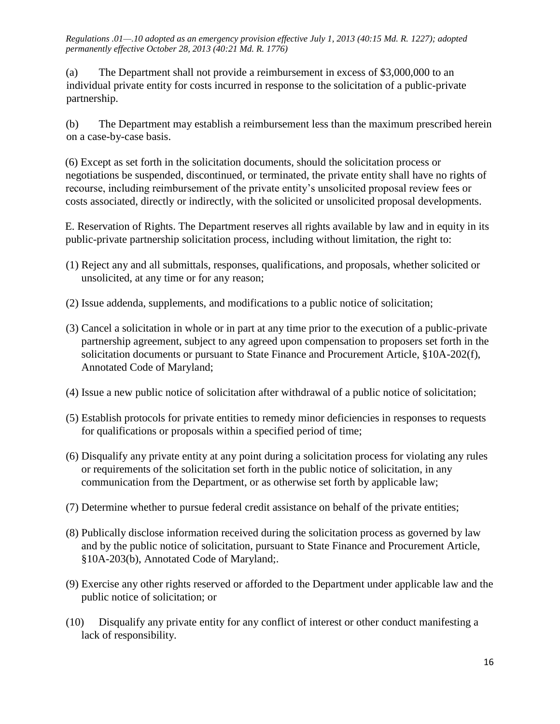(a) The Department shall not provide a reimbursement in excess of \$3,000,000 to an individual private entity for costs incurred in response to the solicitation of a public-private partnership.

(b) The Department may establish a reimbursement less than the maximum prescribed herein on a case-by-case basis.

(6) Except as set forth in the solicitation documents, should the solicitation process or negotiations be suspended, discontinued, or terminated, the private entity shall have no rights of recourse, including reimbursement of the private entity's unsolicited proposal review fees or costs associated, directly or indirectly, with the solicited or unsolicited proposal developments.

E. Reservation of Rights. The Department reserves all rights available by law and in equity in its public-private partnership solicitation process, including without limitation, the right to:

- (1) Reject any and all submittals, responses, qualifications, and proposals, whether solicited or unsolicited, at any time or for any reason;
- (2) Issue addenda, supplements, and modifications to a public notice of solicitation;
- (3) Cancel a solicitation in whole or in part at any time prior to the execution of a public-private partnership agreement, subject to any agreed upon compensation to proposers set forth in the solicitation documents or pursuant to State Finance and Procurement Article, §10A-202(f), Annotated Code of Maryland;
- (4) Issue a new public notice of solicitation after withdrawal of a public notice of solicitation;
- (5) Establish protocols for private entities to remedy minor deficiencies in responses to requests for qualifications or proposals within a specified period of time;
- (6) Disqualify any private entity at any point during a solicitation process for violating any rules or requirements of the solicitation set forth in the public notice of solicitation, in any communication from the Department, or as otherwise set forth by applicable law;
- (7) Determine whether to pursue federal credit assistance on behalf of the private entities;
- (8) Publically disclose information received during the solicitation process as governed by law and by the public notice of solicitation, pursuant to State Finance and Procurement Article, §10A-203(b), Annotated Code of Maryland;.
- (9) Exercise any other rights reserved or afforded to the Department under applicable law and the public notice of solicitation; or
- (10) Disqualify any private entity for any conflict of interest or other conduct manifesting a lack of responsibility.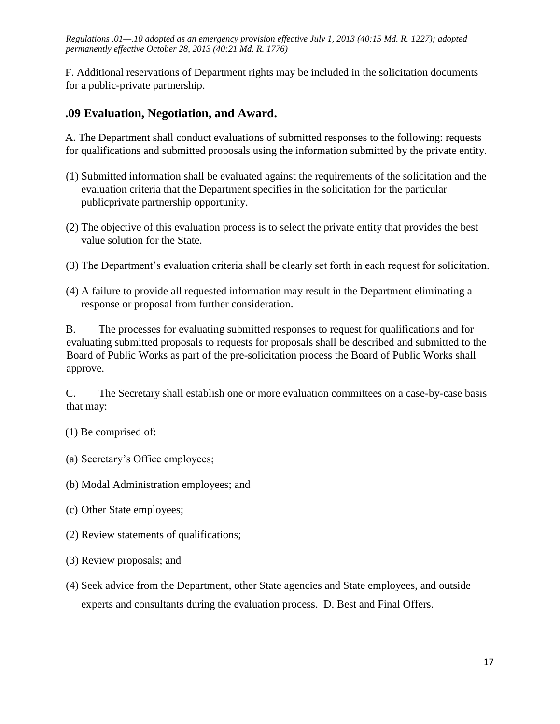F. Additional reservations of Department rights may be included in the solicitation documents for a public-private partnership.

## **.09 Evaluation, Negotiation, and Award.**

A. The Department shall conduct evaluations of submitted responses to the following: requests for qualifications and submitted proposals using the information submitted by the private entity.

- (1) Submitted information shall be evaluated against the requirements of the solicitation and the evaluation criteria that the Department specifies in the solicitation for the particular publicprivate partnership opportunity.
- (2) The objective of this evaluation process is to select the private entity that provides the best value solution for the State.
- (3) The Department's evaluation criteria shall be clearly set forth in each request for solicitation.
- (4) A failure to provide all requested information may result in the Department eliminating a response or proposal from further consideration.

B. The processes for evaluating submitted responses to request for qualifications and for evaluating submitted proposals to requests for proposals shall be described and submitted to the Board of Public Works as part of the pre-solicitation process the Board of Public Works shall approve.

C. The Secretary shall establish one or more evaluation committees on a case-by-case basis that may:

- (1) Be comprised of:
- (a) Secretary's Office employees;
- (b) Modal Administration employees; and
- (c) Other State employees;
- (2) Review statements of qualifications;
- (3) Review proposals; and
- (4) Seek advice from the Department, other State agencies and State employees, and outside experts and consultants during the evaluation process. D. Best and Final Offers.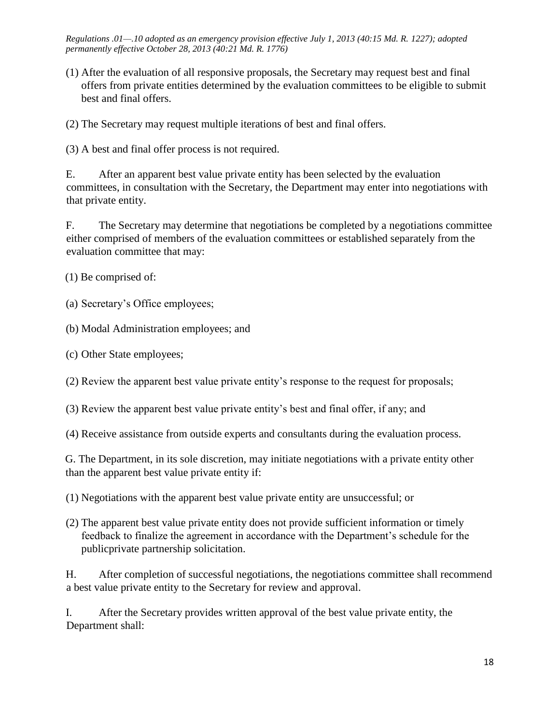(1) After the evaluation of all responsive proposals, the Secretary may request best and final offers from private entities determined by the evaluation committees to be eligible to submit best and final offers.

(2) The Secretary may request multiple iterations of best and final offers.

(3) A best and final offer process is not required.

E. After an apparent best value private entity has been selected by the evaluation committees, in consultation with the Secretary, the Department may enter into negotiations with that private entity.

F. The Secretary may determine that negotiations be completed by a negotiations committee either comprised of members of the evaluation committees or established separately from the evaluation committee that may:

(1) Be comprised of:

(a) Secretary's Office employees;

(b) Modal Administration employees; and

(c) Other State employees;

(2) Review the apparent best value private entity's response to the request for proposals;

(3) Review the apparent best value private entity's best and final offer, if any; and

(4) Receive assistance from outside experts and consultants during the evaluation process.

G. The Department, in its sole discretion, may initiate negotiations with a private entity other than the apparent best value private entity if:

(1) Negotiations with the apparent best value private entity are unsuccessful; or

(2) The apparent best value private entity does not provide sufficient information or timely feedback to finalize the agreement in accordance with the Department's schedule for the publicprivate partnership solicitation.

H. After completion of successful negotiations, the negotiations committee shall recommend a best value private entity to the Secretary for review and approval.

I. After the Secretary provides written approval of the best value private entity, the Department shall: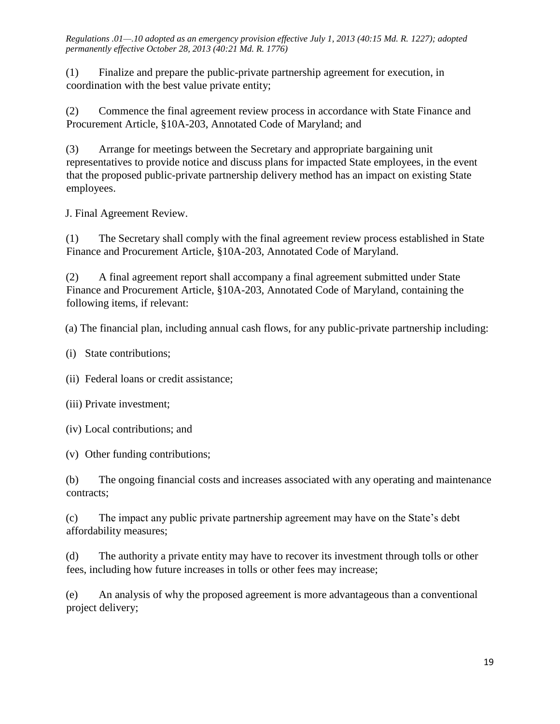(1) Finalize and prepare the public-private partnership agreement for execution, in coordination with the best value private entity;

(2) Commence the final agreement review process in accordance with State Finance and Procurement Article, §10A-203, Annotated Code of Maryland; and

(3) Arrange for meetings between the Secretary and appropriate bargaining unit representatives to provide notice and discuss plans for impacted State employees, in the event that the proposed public-private partnership delivery method has an impact on existing State employees.

J. Final Agreement Review.

(1) The Secretary shall comply with the final agreement review process established in State Finance and Procurement Article, §10A-203, Annotated Code of Maryland.

(2) A final agreement report shall accompany a final agreement submitted under State Finance and Procurement Article, §10A-203, Annotated Code of Maryland, containing the following items, if relevant:

(a) The financial plan, including annual cash flows, for any public-private partnership including:

(i) State contributions;

(ii) Federal loans or credit assistance;

(iii) Private investment;

(iv) Local contributions; and

(v) Other funding contributions;

(b) The ongoing financial costs and increases associated with any operating and maintenance contracts;

(c) The impact any public private partnership agreement may have on the State's debt affordability measures;

(d) The authority a private entity may have to recover its investment through tolls or other fees, including how future increases in tolls or other fees may increase;

(e) An analysis of why the proposed agreement is more advantageous than a conventional project delivery;